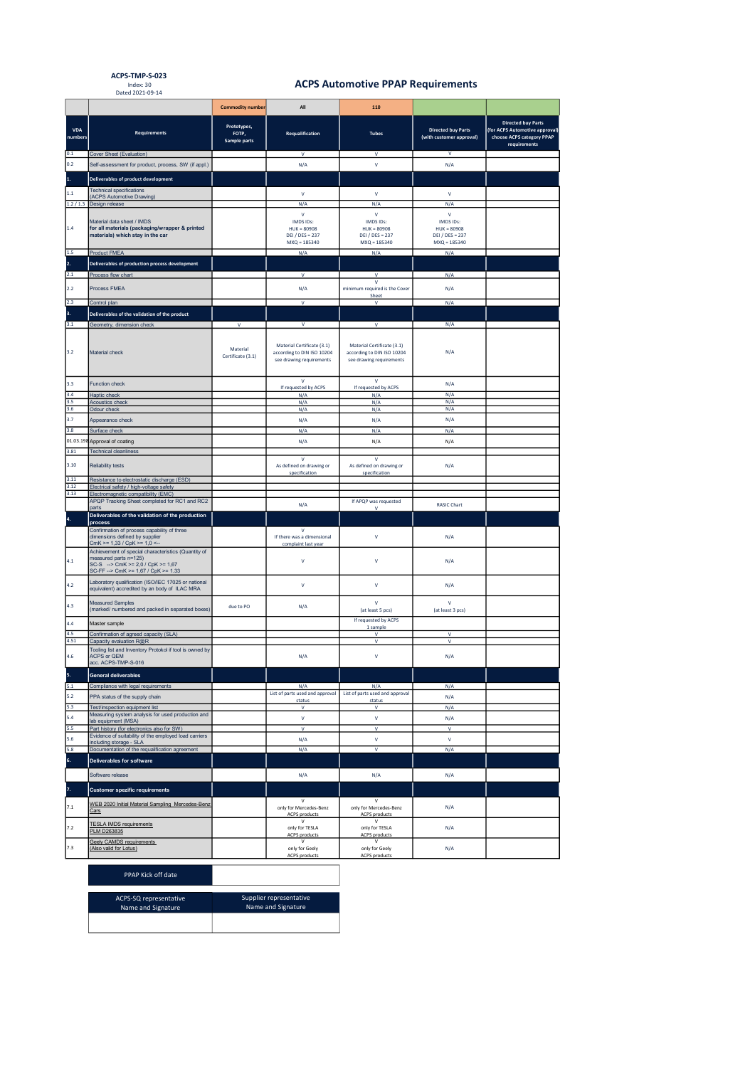ACPS-TMP-S-023 Index: 30 Dated 2021-09-14

## ACPS Automotive PPAP Requirements

|                       |                                                                                                                                                              | <b>Commodity number</b>              | All                                                                                  | 110                                                                                  |                                                                 |                                                                                                          |
|-----------------------|--------------------------------------------------------------------------------------------------------------------------------------------------------------|--------------------------------------|--------------------------------------------------------------------------------------|--------------------------------------------------------------------------------------|-----------------------------------------------------------------|----------------------------------------------------------------------------------------------------------|
| <b>VDA</b><br>numbers | <b>Requirements</b>                                                                                                                                          | Prototypes,<br>FOTP,<br>Sample parts | Requalification                                                                      | <b>Tubes</b>                                                                         | <b>Directed buy Parts</b><br>(with customer approval)           | <b>Directed buy Parts</b><br>(for ACPS Automotive approval)<br>choose ACPS category PPAP<br>requirements |
| 0.1<br>0.2            | Cover Sheet (Evaluation)                                                                                                                                     |                                      | v                                                                                    | v<br>$\mathsf{V}$                                                                    | $\mathsf{V}$                                                    |                                                                                                          |
|                       | Self-assessment for product, process, SW (if appl.)                                                                                                          |                                      | N/A                                                                                  |                                                                                      | N/A                                                             |                                                                                                          |
| 1.                    | <b>Deliverables of product development</b>                                                                                                                   |                                      |                                                                                      |                                                                                      |                                                                 |                                                                                                          |
| 1.1                   | <b>Technical specifications</b><br>(ACPS Automotive Drawing)                                                                                                 |                                      | $\mathsf{V}$                                                                         | $\mathsf{V}$                                                                         | $\mathsf{V}$                                                    |                                                                                                          |
|                       | 1.2 / 1.3 Design release                                                                                                                                     |                                      | N/A<br>$\mathsf{V}$                                                                  | N/A<br>$\mathsf{V}$                                                                  | N/A<br>$\mathsf{V}$                                             |                                                                                                          |
| 1.4                   | Material data sheet / IMDS<br>for all materials (packaging/wrapper & printed<br>materials) which stay in the car                                             |                                      | IMDS IDs:<br>$HUK = 80908$<br>DEI / DES = 237<br>$MXQ = 185340$                      | IMDS IDs:<br>$HUK = 80908$<br><b>DEI / DES = 237</b><br>$MXQ = 185340$               | IMDS IDs:<br>$HUK = 80908$<br>DEI / DES = 237<br>$MXQ = 185340$ |                                                                                                          |
| 1.5<br>2.             | Product FMEA<br>Deliverables of production process development                                                                                               |                                      | N/A                                                                                  | N/A                                                                                  | N/A                                                             |                                                                                                          |
| 2.1                   | Process flow chart                                                                                                                                           |                                      | $\mathsf{V}$                                                                         | V                                                                                    | N/A                                                             |                                                                                                          |
| 2.2                   | Process FMEA                                                                                                                                                 |                                      | N/A                                                                                  | $\mathsf{V}$<br>minimum required is the Cover                                        | N/A                                                             |                                                                                                          |
|                       |                                                                                                                                                              |                                      |                                                                                      | Sheet                                                                                |                                                                 |                                                                                                          |
| 2.3<br>3.             | Control plan                                                                                                                                                 |                                      | $\mathbf{v}$                                                                         | $\mathsf{V}$                                                                         | N/A                                                             |                                                                                                          |
| 3.1                   | Deliverables of the validation of the product<br>Geometry, dimension check                                                                                   | $\mathsf{V}$                         | V                                                                                    | v                                                                                    | N/A                                                             |                                                                                                          |
|                       |                                                                                                                                                              |                                      |                                                                                      |                                                                                      |                                                                 |                                                                                                          |
| 3.2                   | Material check                                                                                                                                               | Material<br>Certificate (3.1)        | Material Certificate (3.1)<br>according to DIN ISO 10204<br>see drawing requirements | Material Certificate (3.1)<br>according to DIN ISO 10204<br>see drawing requirements | N/A                                                             |                                                                                                          |
| 3.3                   | <b>Function check</b>                                                                                                                                        |                                      | $\mathbf{v}$<br>If requested by ACPS                                                 | $\mathbf{v}$<br>If requested by ACPS                                                 | N/A                                                             |                                                                                                          |
| 3.4                   | Haptic check                                                                                                                                                 |                                      | N/A                                                                                  | N/A                                                                                  | N/A                                                             |                                                                                                          |
| 3.5<br>3.6            | <b>Acoustics check</b><br>Odour check                                                                                                                        |                                      | N/A<br>N/A                                                                           | N/A<br>N/A                                                                           | N/A<br>N/A                                                      |                                                                                                          |
| 3.7                   | Appearance check                                                                                                                                             |                                      | N/A                                                                                  | N/A                                                                                  | N/A                                                             |                                                                                                          |
| 3.8                   | Surface check                                                                                                                                                |                                      | N/A                                                                                  | N/A                                                                                  | N/A                                                             |                                                                                                          |
|                       | 01.03.198 Approval of coating                                                                                                                                |                                      | N/A                                                                                  | N/A                                                                                  | N/A                                                             |                                                                                                          |
| 3.81                  | <b>Technical cleanliness</b>                                                                                                                                 |                                      | $\mathbf{V}$                                                                         | $\mathsf{V}$                                                                         |                                                                 |                                                                                                          |
| 3.10<br>3.11          | Reliability tests<br>Resistance to electrostatic discharge (ESD)                                                                                             |                                      | As defined on drawing or<br>specification                                            | As defined on drawing or<br>specification                                            | N/A                                                             |                                                                                                          |
| 3.12                  | Electrical safety / high-voltage safety                                                                                                                      |                                      |                                                                                      |                                                                                      |                                                                 |                                                                                                          |
| 3.13                  | Electromagnetic compatibility (EMC)<br>APQP Tracking Sheet completed for RC1 and RC2                                                                         |                                      | N/A                                                                                  | If APQP was requested                                                                | <b>RASIC Chart</b>                                              |                                                                                                          |
| 4.                    | parts<br>Deliverables of the validation of the production                                                                                                    |                                      |                                                                                      | $\mathsf{v}$                                                                         |                                                                 |                                                                                                          |
|                       | process<br>Confirmation of process capability of three<br>dimensions defined by supplier<br>CmK >= $1,33 / CpK$ >= $1,0$ <-                                  |                                      | $\mathsf{v}$<br>If there was a dimensional<br>complaint last year                    | $\mathsf{V}$                                                                         | N/A                                                             |                                                                                                          |
| 4.1                   | Achievement of special characteristics (Quantity of<br>measured parts n=125)<br>SC-S --> CmK >= $2,0$ / CpK >= $1,67$<br>SC-FF --> CmK >= 1,67 / CpK >= 1.33 |                                      | $\mathsf{V}$                                                                         | $\vee$                                                                               | N/A                                                             |                                                                                                          |
| 4.2                   | Laboratory qualification (ISO/IEC 17025 or national<br>equivalent) accredited by an body of ILAC MRA                                                         |                                      | $\mathbf{v}$                                                                         | $\mathsf{V}$                                                                         | N/A                                                             |                                                                                                          |
| 4.3                   | <b>Measured Samples</b><br>(marked/ numbered and packed in separated boxes)                                                                                  | due to PO                            | N/A                                                                                  | $\mathsf{V}$<br>(at least 5 pcs)                                                     | $\mathbf v$<br>(at least 3 pcs)                                 |                                                                                                          |
| 4.4                   | Master sample                                                                                                                                                |                                      |                                                                                      | If requested by ACPS<br>1 sample                                                     |                                                                 |                                                                                                          |
| 4.5<br>4.51           | Confirmation of agreed capacity (SLA)<br>Capacity evaluation R@R                                                                                             |                                      |                                                                                      | v<br>$\mathsf{V}$                                                                    | $\mathsf{V}$<br>$\mathsf{V}$                                    |                                                                                                          |
| 4.6                   | Tooling list and Inventory Protokol if tool is owned by<br>ACPS or QEM                                                                                       |                                      | N/A                                                                                  | $\vee$                                                                               | N/A                                                             |                                                                                                          |
|                       | acc. ACPS-TMP-S-016                                                                                                                                          |                                      |                                                                                      |                                                                                      |                                                                 |                                                                                                          |
| 5.<br>5.1             | <b>General deliverables</b><br>Compliance with legal requirements                                                                                            |                                      | N/A                                                                                  | N/A                                                                                  | N/A                                                             |                                                                                                          |
| 5.2                   | PPA status of the supply chain                                                                                                                               |                                      | List of parts used and approval                                                      | List of parts used and approval                                                      | N/A                                                             |                                                                                                          |
| 5.3                   | Test/inspection equipment list                                                                                                                               |                                      | status<br>$\mathbf{v}$                                                               | status<br>$\mathsf{v}$                                                               | N/A                                                             |                                                                                                          |
| 5.4                   | Measuring system analysis for used production and<br>lab equipment (MSA)                                                                                     |                                      | $\mathsf{v}$                                                                         | $\mathsf{v}$                                                                         | N/A                                                             |                                                                                                          |
| 5.5                   | Part history (for electronics also for SW)<br>Evidence of suitability of the employed load carriers                                                          |                                      | $\mathbf{v}$                                                                         | $\mathsf{v}$                                                                         | $\mathbf{v}$                                                    |                                                                                                          |
| 5.6<br>5.8            | including storage - SLA<br>Documentation of the requalification agreement                                                                                    |                                      | N/A<br>N/A                                                                           | V<br>$\mathsf{V}$                                                                    | $\mathsf{V}$<br>N/A                                             |                                                                                                          |
| 6.                    | Deliverables for software                                                                                                                                    |                                      |                                                                                      |                                                                                      |                                                                 |                                                                                                          |
|                       | Software release                                                                                                                                             |                                      | N/A                                                                                  | N/A                                                                                  | N/A                                                             |                                                                                                          |
| 7.                    |                                                                                                                                                              |                                      |                                                                                      |                                                                                      |                                                                 |                                                                                                          |
|                       | <b>Customer spezific requirements</b>                                                                                                                        |                                      | $\mathsf{V}$                                                                         | $\mathsf{v}$                                                                         |                                                                 |                                                                                                          |
| $7.1\,$               | WEB 2020 Initial Material Sampling Mercedes-Benz<br>Cars                                                                                                     |                                      | only for Mercedes-Benz<br><b>ACPS</b> products                                       | only for Mercedes-Benz<br><b>ACPS</b> products                                       | N/A                                                             |                                                                                                          |
| 7.2                   | <b>TESLA IMDS requirements</b><br>PLM D263835                                                                                                                |                                      | $\mathsf{V}$<br>only for TESLA<br><b>ACPS</b> products                               | $\vee$<br>only for TESLA<br><b>ACPS</b> products                                     | N/A                                                             |                                                                                                          |
| 7.3                   | Geely CAMDS requirements<br>(Also valid for Lotus)                                                                                                           |                                      | $\mathsf{v}$<br>only for Geely<br><b>ACPS products</b>                               | v<br>only for Geely<br><b>ACPS</b> products                                          | N/A                                                             |                                                                                                          |

| PPAP Kick off date |  |
|--------------------|--|
|--------------------|--|

| ACPS-SQ representative | Supplier representative |
|------------------------|-------------------------|
| Name and Signature     | Name and Signature      |
|                        |                         |